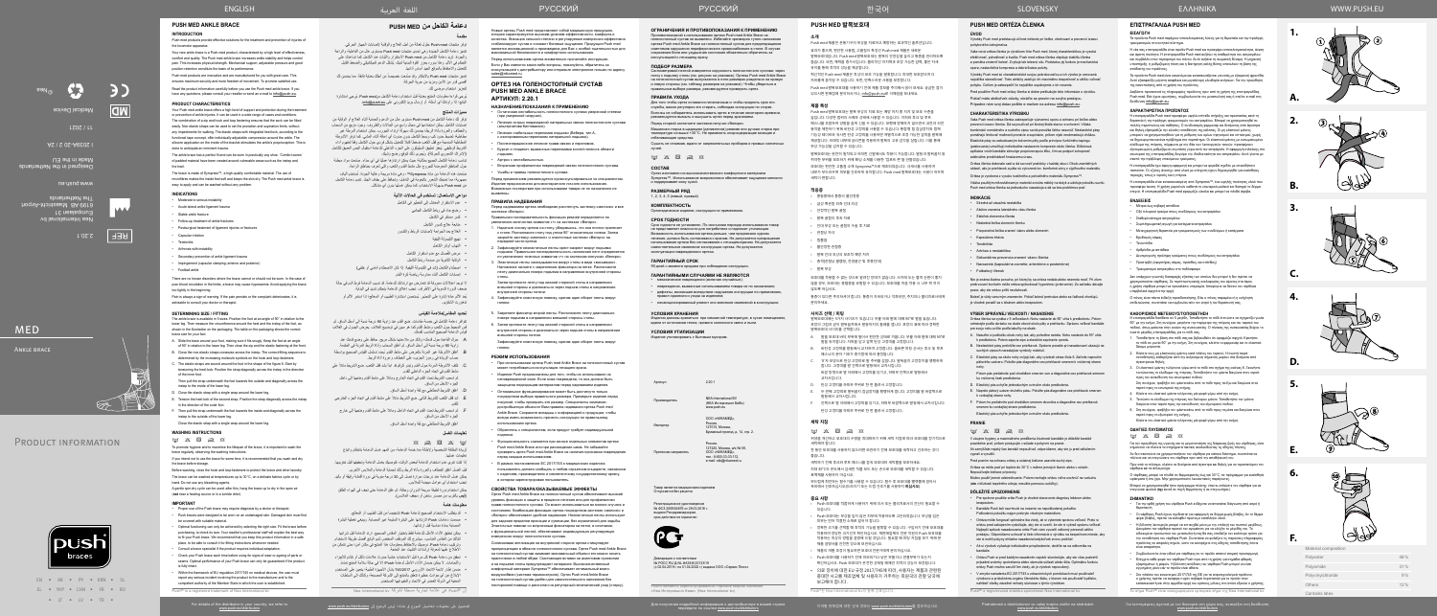

ف

Для получения подробной информации о дистрибьюторе в вашей стране перейдите по ссылке www.push.eu/distributors



**MED** 

Nea International bv Europalaan 31  $\epsilon$  and  $\epsilon$  and  $\epsilon$ The Netherlands

www.push.eu

Designed in the Netherlands Made in the EU

I 2039A-20 2 / 2A

11 / 2021

Medical Device



| v                    |     |
|----------------------|-----|
| Material composition |     |
| Polyester            | 48% |
| Polyamide            | 31% |
| Polyvinylchloride    | 9%  |
| Others               | 12% |
| Contains latex       |     |

- توفر لك دعامة الكاحل من med Push ِ مستوى عال من الدعم والحماية أثناء العالج أو الوقاية من إصابات الكاحل. يمكن استخدامها في مجال واسع من الحاالت والظروف. وجود مزيج من السحاب
- والخطاف والعروة بأداة الربط؛ يضمن لك سهولة ارتداء الجورب. يمكن استخدام أشرطة غير مطاطية؛ لضبط حدود كب وبسط الكاحل بدون حدوث أي إعاقة أثناء المشي. كما توفر الأشرطة<br>المطاطية المدمجة مع قفل الكعب ضغطاً قابلاً للتعديل بشكل فردي حول الكاحل وفقاً لمفهوم أداء
- ُ الشريط الوظيفي. يحفز تطبيق السيليكون على الجزء الداخلي للدعامة استقبال الحس العميق للكاحل ُ )اإلدراك الشعوري للحركة(. ويجرى ذلك لتوقع رضح وشيك.
- تناسب دعامة الكاحل الجميع بمثالية؛ حيث يمكن ارتداؤها عمليًا في أي حذاء. صنعت مواد مبطنة حول المناطق المعرضة للجروح مثل مشط القدم والكعب والتي تُعرف بمناطق الراحة.

**1.**

**A.**

**B.**

**C.**

**D.**

**E.**

**F.**







**2.**







ιειες σχετικά με τον διανομέα στη χώρα σας, ανατρέξτε στη διεύθυνση.<br>Προσφαιρισμό του προσφαιρισμές στη χώρα σας, ανατρέξτε στη διεύθυνση.<br>Προσφαιρισμό του προσφαιρισμό του προσφαιρισμό του προσφαιρισμό του προσφαιρισμό

**3.**

**4.**

**5.**

**6.**

# **دعامة الكاحل من MED PUSH**

# **مقدمة**

توفر منتجات med Push حلول فعالة من أجل العالج والوقاية إلصابات الجهاز الحركي. تتميز دعامة الكاحل الجديدة وهي إحدى منتجات med Push ِ بمستوى عال من الفاعلية، والراحة والجودة. تزيد دعامة الكاحل من med Push االستقرار والثبات عند الكاحل كما تساعدك على التحكم في الألم. وهذا بدوره يعزز القوة البدنية لديك. يُشكل الدعم الميكانيكي والضغط القابل للتعديل واالحتفاظ بالموقع الجيد أساس أدائها.

تتميز منتجات Push med بالابتكار وقد صُنعت خصيصاً من أجلك بعناية فائقة. مما يضمن لك أقصىي قدر من الأمن ومزيد من حرية الحركة.

صّنعت هذه الدعامة من مادة Sympress™، وهي مادة مريحة وعالية الجودة. تُستخدم ألياف مجهرية؛ مما تمنحك الشعور بالنعومة في الداخل، وتحافظ على جفاف الجلد. تتسم دعامة الكاحل من med Push بسهولة االستخدام، كما يمكن غسلها بدون أي مشاكل.

لتعزيز استخدام مرضي لك. ُيرجى قراءة معلومات المنتج بعناية قبل استخدام دعامة الكاحل منmed Push ُ . يرجي استشارة

...<br>البائع؛ إذا راودتك أي أسئلة، أو إرسال بريد إلكتروني على info@push.eu.

# **مميزات المنتج**

 $\otimes$   $\boxtimes$   $\boxtimes$   $\otimes$   $\otimes$   $\otimes$ لزيادة النظافة الشخصية وإلطالة مدة خدمة الدعامة، من المهم غسل الدعامة بانتظام واتباع تعليمات غسلها.

### **دواعي االستعمال: تستخدم في الحاالت اآلتية**

- عدم االستقرار المعتدل إلى الخطير في الكاحل
- رضح حاد في رباط الكاحل الجانبي
- كسر مستقر في الكاحل
- 
- متابعة عالج كسور الكاحل
- العالج بعد الجراحة إلصابات الرباط والكسور
	- تهيج الكبسولة الليفية
	- التهاب أوتار الكاحل
- ُصال مع عدم استقرار الكاحل مرض الف
- الوقاية الثانوية من صدمة رباط الكاحل
- اصطدام الكاحل )شد في الكبسولة الليفية: إذا كان االصطدام أمامي أو خلفي(
- إصابات الكاحل أثناء ممارسة رياضة كرة القدم

- قد يتطلب الاستخدام الصحيح لدعامة Push تشخيصاً من قبل الطبيب أو المعالج. صممت دعامات Push الرتدائها على البشرة السليمة غير المصابة. وينبغي تغطية البشرة
- المصابة بمادة مناسبة قبل ارتدائها. يمكن تحقيق األداء األمثل للدعامة فقط باختيار المقاس الصحيح. ارتد الدعامة قبل شرائها لتتأكد من المقاس المناسب. سيشرح لك الموظف المختص لدى البائع أفضل طريقة الستخدام وتركيب دعامة Push. نوصيك باالحتفاظ بمعلومات هذا المنتج في مكان آمن؛ حتى تتمكن من
- االطالع عليها لمعرفة إرشادات التثبيت عند الحاجة. تحقق من دعامة Push كل مرة قبل االستخدام؛ خشية حدوث عالمات تآكل أو تقادم لألجزاء
- واللحامات. لا يمكن ضمان الأداء الأمثل لدعامة Push؛ إلا في حالة سلامة المنتج تماماً. ضمن إطار الئحة االتحاد األوروبي 745/2017 بشأن األجهزة الطبية؛ يتعين على المستخدم اإلبالغ عن أي حوادث خطيرة تتعلق بالمنتج إلى الشركة المصنعة، وكذلك إلى السلطات
- المعنية في الدولة العضو في االتحاد والمقيم فيها المستخدم. إن RPush هي عالمة تجارية مسجلة لشركة bv International Nea

Россия,<br>127220, Москва, а/я № 58, ООО «НИКАМЕД», тел.: 8-800-33-33-112, e-mail: skk@nikamed.ru.

Товар является медицинским изделием овар являютел шодланно.<br>Ітпускается без пецепта

ال توجد اعتالالت معروفة قد تتعارض مع ارتدائك للدعامة. قد تسبب الدعامة فرط الدم في حالة ضعف الدورة الدموية في األطراف. تجنب إغالق الدعامة بإحكام شديد في البداية. يُعد الألم عادة إشارة على التحذير . يُستحسن استشارة الطبيب أو المعالج؛ إذا استمر الألم أو تدهورت الشكوى.

> Декларация о соответствии<br>№ РОСС RU Д-NL.НА38.B.00133/19 (с 02.04.2019 г. по 01.04.2022 г.) выдана ООО «Сервис Плюс»

### **تحديد المقاس/مالءمة القياس**

تتوافر دعامة الكاحل في خمسة مقاسات. ضع القدم عند زاوية 90 درجة نسبة إلى أسفل الساق. ثم قس المحيط حول الكعب ومشط القدم كما هو مبين في توضيح الغالف. يعرض الجدول في الغالف قياس الدعامة الصحيح المناسب لقدمك.

Сантиметровой лентой измеряется окружность голеностопного сустава: через<br>пятку к подъему стопы (см. рисунок на упаковке). Ортезы Push med Ankle Brace<br>на голеностопный сустав выпускаются в пяти размерах раздельно на правую и левую стороны (см. таблицу размеров на упаковке). Чтобы убедиться в правильном выборе размера, рекомендуется примерить ортез.

- . حرك القاعدة حول قدمك؛ وتأكد من مالءمتها بشكل مريح. حافظ على وضع قدمك عند زاوية 90 درجة نسبة إلى أسفل الساق. ثم أغلق السحاب وأداة الربط المرنة في المقدمة.
- . ُ أغلق األشرطة غير المرنة بالعرض على مشط القدم. يحدد تسلسل القياس الصحيح بواسطة حساب الزيادة في رموز الجزىء على الخطاف وعروة أداة الربط.
- . تلتف الأشرطة المرنة حول القدم وتبدو كرقم 8. ابدأ بشد قفل الكعب. ضع الشريط مائلاً على مشط القدم في اتجاه الجزء الداخلي للقدم.
- ثم اسحب الشريط تحت القدم في اتجاه الخارج ومائلاً على مشط القدم ومتجهاً إلى داخل الجزء األسفل من الساق.
	- . أغلق الشريط المطاطي مع لفة واحدة أسفل الساق.
- . شد قفل الكعب للشريط الثاني. ضع الشريط مائلاً على مشط القدم في اتجاه الجزء الخارجي للقدم.
- F. ثم اسحب الشريط تحت القدم في اتجاه الداخل ومائلاً على مشط القدم ومتجهاً إلى خارج الجزء األسفل من الساق.

**КОМПЛЕКТНОСТЬ** .<br>изделие, инструкция по применению

أغلق الشريط المطاطي مع لفة واحدة أسفل الساق.

Срок годности не установлен. По окончании периода использования товар<br>не представляет опасности для потребителя и подлежит утилизации.<br>Возможность использования ортеза дольше, чем предписано курсом<br>лечения, должна быть со самостоятельное изменение конструкции ортеза. Не допускается эксплуатация поврежденного ортеза.

# **تعليمات الغسل**

إذا كنت تنوي عدم استخدام الدعامة لبعض الوقت، فنوصيك بغسل الدعامة وتجفيفها قبل تخزينها. قبل الغسل أغلق الخطاف والعروة بأداة الربط وذلك لحماية الدعامة والملابس الأخرى. يمكن غسل الدعامة عند درجات حرارة تصل إلى 30 درجة مئوية في دورة أقمشة رقيقة أو باليد. Новые ортезы Push med представляют собой медицинскую продукцию,<br>которая характеризуется высоким уровнем эффективности, комфорта и<br>качества. Фиксация сильной степени и регулируемая компрессия эффективно стабилизируют сустав и снижают болевые ощущения. Продукция Push med яв и опимают септеста сегу вестилисте суде.<br>инной и произведена для Вас с особой тщательностью для максимальной безопасности и комфортного использования. Перед использованием ортеза внимательно прочитайте инструкцию.

تجنب استخدام أي عوامل مبيضة للمالبس. يمكن استخدام دورة لطيفة سريعة الدوران وجافة، ثم علق الدعامة حتى تجف في الهواء الطلق

)**ليس** بالقرب من مصدر ساخن أو مجفف المالبس(.

### **معلومات هامة**

### **УСЛОВИЯ ХРАНЕНИЯ**

Изделия должны храниться при комнатной температуре, в сухих помещениях, вдали от источников тепла, прямого солнечного света и пыли.

### **УСЛОВИЯ УТИЛИЗАЦИИ**

ать с бытовым мусором

Артикул 2.20.1

Производитель NEA International BV (НЕА Интернешнл БиВи) www.push.eu

Импортер

ООО «НИКАМЕД», Россия,<br>127015, Москва, Бумажный проезд, д. 14, стр. 2.

Претензии направлять

Регистрационное удостоверение № ФСЗ 2009/04876 от 29.03.2016 г. выдано Росздравнадзором, срок действия не ограничен



Push® является зарегистрированной торговой маркой компании «Неа Интернешнл биви» (Nea International bv)

### **ОГРАНИЧЕНИЯ И ПРОТИВОПОКАЗАНИЯ К ПРИМЕНЕНИЮ**

Противопоказаний к использованию ортеза Push med Ankle Brace на голеностопный сустав не выявлено. Избегайте чрезмерно тугого наложения ортеза Push med Ankle Brace на голеностопный сустав для предотвращения симптомов нарушения периферического кровоснабжения в стопе. В случае сохранения боли или ухудшения состояния обязательно обратитесь за консультацией к лечащему врачу.

#### **ПОДБОР РАЗМЕРА**

#### **ПРАВИЛА УХОДА**

Для того чтобы ортез оставался гигиеничным и чтобы продлить срок его службы, важно регулярно его стирать, соблюдая инструкции по стирке. Если вы не собираетесь использовать ортез в течение некоторого времени, рекомендуется вымыть и высушить ортез перед хранением.

Перед стиркой застегните застежки-липучки «Велкро».

Машинная стирка в щадящем (деликатном) режиме или ручная стирка при температуре не выше +30°C. Не применять хлорсодержащие моющие и отбеливающие средства.

Сушить не отжимая, вдали от нагревательных приборов и прямых солнечных лучей.

### $\label{eq:3.1} \begin{array}{lll} \hbox{if}&\mathbb{X} & \mathbb{S} & \mathbb{Z} & \mathbb{S} \end{array}$

#### **СОСТАВ**

Ортез изготовлен из высококачественного комфортного материала Sympress™. Использование микроволокон обеспечивает ощущение мягкости и поддерживает кожу сухой.

### **РАЗМЕРНЫЙ РЯД**

1, 2, 3, 4, 5 (левый, правый)

#### **СРОК ГОДНОСТИ**

#### **ГАРАНТИЙНЫЙ СРОК** 90 дней с момента продажи при соблюдении инструкции.

**ГАРАНТИЙНЫМИ СЛУЧАЯМИ НЕ ЯВЛЯЮТСЯ**

#### • механические повреждения (включая случайные);

• повреждения, вызванные использованием товара не по назначению; • дефекты, возникшие вследствие нарушения инструкции по применению, правил хранения и ухода за изделием;

• несанкционированный ремонт или внесение изменений в конструкцию.

Если у Вас имеются какие-либо вопросы, пожалуйста, обратитесь за онсультацией к дистрибьютору или отправьте электронное письмо по адресу sales@nikamed.ru

### **ОРТЕЗ НА ГОЛЕНОСТОПНЫЙ СУСТАВ PUSH MED ANKLE BRACE АРТИКУЛ: 2.20.1**

#### **НАЗНАЧЕНИЕ/ПОКАЗАНИЯ К ПРИМЕНЕНИЮ** • Остаточная нестабильность голеностопного сустава умеренной степени

- (при умеренной нагрузке). • Лечение острых повреждений латеральных связок голеностопного сустава
- (альтернатива бинтованию).
- Лечение стабильных переломов лодыжки (Вебера, тип А, с изолированным переломом латеральной лодыжки). • Послеоперационное лечение травм связок и переломов.
- Бурсит и тендинит, вызванные переломами костей голени в област лодыжек.
- Артроз с нестабильностью.
- Вторичная профилактика повреждений связок голеностопного сустава. • Ушибы и травмы голеностопного сустава.

.<br>C. Elastické pásy sa okolo nohy ovíjajú tak, aby vytvárali obraz čísla 8. Začnite napnutím pätového uzáveru. Položte pás diagonálne cez priehlavok smerom k vnútornej strane

Перед применением рекомендуется проконсультироваться со специалистом. Изделие предназначено для многократного личного использования. Возможные последствия при использовании товара не по назначению не выявлены.

**ПРАВИЛА НАДЕВАНИЯ**<br>Перед надеванием ортеза необходимо расстегнуть застежку-«молнию» и все<br>застежки «Велкро».

- Правильная последовательность фиксации ремней определяется по увеличению количества символов «•» на застежках «Велкро».
- Наденьте основу ортеза на стопу, убедившись, что она плотно прилегает к стопе. Расположите стопу под углом 90° относительно голени. Затем закройте застежку-«молнию» и эластичные застежки «Велкро» на передней части ортеза.
- 2. Зафиксируйте неэластичные ленты крест-накрест вокруг подъема лодыжки. Правильная последовательность наложения лент определяется по увеличению точечных символов «•» на застежках-липучках «Велкро».
- 3. Эластичные ленты накладываются вокруг стопы в виде «восьмерки». Наложение начните с закрепления фиксатора на пятке. Расположите ленту диагонально поверх подъема в направлении внутренней сторон стопы.

Затем протяните ленту под нижней стороной стопы в направлении внешней стороны и диагонально через подъем стопы в направлении внутренней стороны голени.

- 4. Зафиксируйте эластичную повязку, сделав один оборот ленты вокруг голени.
- .<br>5. Закрепите фиксатор второй ленты. Расположите ленту диагональн поверх подъема в направлении внешней стороны стопы.
- 6. Затем протяните ленту под нижней стороной стопы в направлении внутренней стороны и диагонально через подъем стопы в направлении внешней стороны голени. Зафиксируйте эластичную повязку, сделав один оборот ленты вокруг голени.

Η επιστραγαλίδα Push med προσφέρει υψηλό επίπεδο στήριξης και προστασίας κατά τη θεραπεία ή την πρόληψη τραυματισμών του αστραγάλου. Μπορεί να χρησιμοποιηθεί σε πολλές περιπτώσεις και παθήσεις. Ο συνδυασμός φερμουάρ και δεσίματος από άγκιστρα και θηλιές εξασφαλίζει την εύκολη τοποθέτηση της κάλτσας. Οι μη ελαστικοί ιμάντες μπορούν να χρησιμοποιηθούν για τη ρύθμιση των ορίων πρηνισμού και υπτιασμού, χωρίς να δημιουργείται κανένα πρόβλημα στο περπάτημα. Οι ελαστικοί ιμάντες με ενσωματωμένο κλείδωμα της πτέρνας, σύμφωνα με την ιδέα των λειτουργικών ταινιών, προσφέρουν<br>εξατομικευμένη ρυθμιζόμενη συμπίεση γύρω από τον αστράγαλο. Η εφαρμογή σιλικόνης στο<br>εσωτερικό της επιστραγαλίδας διεγείρει την ιδιοδεκτικότητ

### ENGLISH العربية اللغة WWW.PUSH.EU SLOVENSKY

### **РЕЖИМ ИСПОЛЬЗОВАНИЯ**

- При использовании ортеза Push med Ankle Brace на голеностопный сустав может потребоваться консультация лечащего врача.
- Изделия Push предназначены для того, чтобы их использовали на неповрежденной коже. Если кожа повреждена, то она должна быть защищена подходящим материалом перед надеванием изделия.
- Оптимальное функционирование может быть достигнуто только посредством выбора правильного размера. Примерьте изделие перед покупкой, чтобы проверить его размер. Специалисты компаниидистрибьютора объяснят Вам правила надевания ортеза Push med Ankle Brace. Сохраните вкладыш с информацией о продукции, чтобы всегда иметь возможность прочесть инструкции по правильному использованию ортеза.
- Обратитесь к специалистам, если продукт требует индивидуальной подгонки.
- Функциональность снижается при износе отдельных элементов ортеза Push med Ankle Brace или при расхождении швов. Не забывайте проверять ортез Push med Ankle Brace на наличие признаков повреждения перед каждым использованием.
- В рамках постановления ЕС 2017/745 о медицинских изделиях пользователь должен сообщать о любом серьезном инциденте, связанном с изделием, производителю и компетентному государственному органу, в котором зарегистрирован пользователь.

Δευτερογενής πρόληψη τραύματος στους συνδέσμους του αστραγάλο • Προστριβή (σφιγκτήρας κάψας, πρόσθιος και οπίσθιος) • Τραυματισμοί αστραγάλου στο ποδόσφαιρο

Η επιστραγαλίδα διατίθεται σε 5 μεγέθη. Τοποθετήστε το πόδι έτσι ώστε να σχηματίζει γωνία 90° με την κνήμη. Στη συνέχεια, μετρήστε την περίμετρο της πτέρνας και του ταρσού του ποδιού, όπως φαίνεται στην εικόνα της συσκευασίας. Ο πίνακας της συσκευασίας δείχνει το σωστό μέγεθος επιστραγαλίδας για το πόδι σας. 1. Τοποθετήστε τη βάση στο πόδι σας και βεβαιωθείτε ότι εφαρμόζει σφιχτά. Κρατήστε τιτου πότι τη μεστήστο που τους και μεραιώσειτε στι εφαρμοςα σφιχτα. το<br>η πόδι σε γωνία 90° με την κνήμη. Στη συνέχεια, κλείστε το φερμουάρ και το

### **СВОЙСТВА ТОВАРА/ОКАЗЫВАЕМЫЕ ЭФФЕКТЫ**

Ортез Push med Ankle Brace на голеностопный сустав обеспечивает высокий уровень фиксации и защиты в процессе лечения или для профилактики травм голеностопного сустава. Он может использоваться во многих случаях и состояниях. Комбинация фиксации ортеза посредством застежек «молния» и «Велкро» обеспечивает удобное надевание. Неэластичные ленты используют для задания пределов пронации и супинации, без ограничений для ходьбы. Эластичные повязки со встроенным фиксатором на пятке, в сочетании с функциональной лентой, обеспечивают индивидуально регулируемую компрессию вокруг голеностопного сустава.

**ΟΔΗΓΙΕΣ ΠΛΥΣΙΜΑΤΟΣ**  $\boxdot$   $\otimes$   $\boxdot$   $\otimes$ 

Силиконовая аппликация на внутренней стороне ортеза стимулирует проприоцепцию в области голеностопного сустава. Ортез Push med Ankle Brace на голеностопный сустав занимает минимальный объем и его можно носить практически в любой обуви. Смягчающие вставки на ахилловом сухожилии и на подъеме стопы предупреждают натирание. Высококачественный комфортный материал Sympress™ обеспечивает оптимальный влаговоздухообмен (система термоконтроля). Ортез Push med Ankle Brace на голеностопный сустав удобен для самостоятельного наложения без посторонней помощи и рассчитан на регулярный гигиенический уход (стирку).

# **PUSH MED 발목보호대**

**소개** Push med 제품은 운동기구의 부상을 치료하고 예방하는 효과적인 솔루션입니다. 효과가 좋으며, 편안한 사용법, 고품질이 특징인 Push med 제품은 새로운 발목보호대입니다. Push med 발목보호대는 발목의 안정감을 높이고 통증을 관리하도록 돕습니다. 또한, 체력을 증가시킵니다. 물리적인 지지력과 조정 가능한 압력, 좋은 자세 유지를 통해 최적의 성능을 제공합니다.

혁신적인 Push med 제품은 최상의 보조 기능을 발휘합니다. 최대한 보호받으며 더 자유롭게 움직일 수 있습니다. 또한, 만족스러운 사용을 보장합니다. Push med 발목보호대를 사용하기 전에 제품 정보를 주의해서 읽어 보세요. 궁금한 점이

있으시면 판매점에 문의하시거나, info@push.eu로 이메일을 보내세요.

### **제품 특성**

Push med 발목보호대는 발목 부상의 치료 또는 예방 처치 중 지지 및 보호 수준을 높입니다. 다양한 범위의 사례와 상태에 사용할 수 있습니다. 지퍼와 후크 및 루프 패스너를 조합하여 양말을 쉽게 신을 수 있습니다. 보행에 방해하지 않으면서 내전과 외전 동작을 제한하기 위해 비탄성 고정띠를 사용할 수 있습니다. 통합형 힐 잠금장치와 함께 기능성 테이프와 유사한 탄성 고정띠를 사용하면 개별적으로 조정 가능한 압박을 발목에 제공합니다. 브래킷 내부에 실리콘을 적용하여 발목의 고유 감각을 살립니다. 이를 통해 부상 가능성을 감지할 수 있습니다.

발목보호대는 완전히 밀착되고 어떠한 신발에서도 착용이 가능합니다. 발등과 발뒤꿈치 등 취약한 부위를 보조하기 위해 패딩 소재를 이용한 '컴포트 존'을 만들었습니다. 보호대는 편안한 고품질 소재 Sympress™으로 제조되었습니다. 극세사를 사용하여 내부가 부드러우며 피부를 건조하게 유지합니다. Push med 발목보호대는 사용이 쉬우며 세탁이 편합니다.

Your Push med ankle brace offers a high level of support and protection during the treatment or prevention of ankle injuries. It can be used in a wide range of cases and conditions. Ie combination of a zip and hook and loop fastening ensures that the sock can be fitted easily. Non-elastic straps can be used to set the pronation and supination limits, without any impediments for walking. The elastic straps with integrated heel-lock, according to the functional tape concept, offer individually adjustable compression around the ankle. The silicone application on the inside of the bracket stimulates the ankle's proprioception. This is

**적응증**

The brace is made of Sympress™, a high-quality comfortable material. The use of microfibres makes the inside feel soft and keeps the skin dry. The Push med ankle brace is microfibres makes the inside feel soft and keeps the skin dry. The Push med ankle brace is

- 중등증에서 중증의 불안정증
- 급성 족관절 외측 인대 외상
- 안정적인 발목 골절
- 발목 골절의 후속 치료
- 인대 부상 또는 골절의 수술 후 치료
- 관절낭 자극
- 힘줄염
- 불안정한 관절증
- 발목 인대 외상의 보조적 예방 처치 • 충격(관절낭 클램핑, 전경골근 및 후종인대)
- 발목 부상

보호대를 착용할 수 없는 것으로 알려진 장애가 없습니다. 사지에 도는 혈액 순환이 좋지 않을 경우, 보호대는 충혈증을 유발할 수 있습니다. 보호대를 처음 착용 시 너무 꽉 끼지 않도록 하십시오.

Capsular irritation **Tendonitis** • Arthrosis with instability

> 통증이 있다면 주의하셔야 합니다. 통증이 지속되거나 악화되면, 주치의나 물리치료사에게 문의하세요.

### **사이즈 선택 / 피팅**

발목보호대에는 5가지 사이즈가 있습니다. 무릎 아래 발에 대해 90°로 발을 놓습니다. 포장의 그림과 같이 발뒤꿈치에서 발등까지의 둘레를 잽니다. 포장의 표에 따라 정확한 발목보호대 사이즈를 선택합니다.

- A. 발을 보호대 바닥 부위에 밀어서 편안한 상태로 끼웁니다. 무릎 아래 발에 대해 90°로 발을 유지합니다. 지퍼을 닫고 앞쪽 탄성 고정띠를 고정합니다. B. 비탄성 고정띠를 발등에서 교차하여 고정합니다. 올바른 피팅 순서는 후크 및 루프
- 패스너의 분자 기호가 증가함에 따라 결정됩니다. '8'자 모양으로 탄성 고정띠로 발 주위를 감쌉니다. 발뒤꿈치 고정장치를 팽팽하게
- 합니다. 고정띠를 발 안쪽으로 발등에서 교차시킵니다. 바깥 방향으로 발 아래에서 고정띠를 당기고, 하퇴부 안쪽으로 발등에서 교차시킵니다.
- D. 탄성 고정띠를 하퇴부 주위로 한 번 돌려서 고정합니다.
- E. 두 번째 고정띠로 발뒤꿈치 잠금장치를 팽팽하게 합니다. 고정띠를 발 바깥쪽으로 발등에서 교차시킵니다.
- F. 안쪽으로 발 아래에서 고정띠를 당기고, 하퇴부 바깥쪽으로 발등에서 교차시킵니다. 탄성 고정띠를 하퇴부 주위로 한 번 돌려서 고정합니다.

### **세탁 지침**

 $\boxtimes \hspace{0.1cm} \boxtimes \hspace{0.1cm} \boxtimes \hspace{0.1cm} \boxtimes \hspace{0.1cm} \boxtimes \hspace{0.1cm} \boxtimes \hspace{0.1cm} \boxtimes$ 

위생을 개선하고 보호대의 수명을 최대화하기 위해 세탁 지침에 따라 보호대를 정기적으로 세탁해야 합니다.

한 동안 보호대를 사용하지 않으려면 보관하기 전에 보호대를 세척하고 건조하는 것이 좋습니다.

세탁하기 전에 후크와 루프 패스너를 잠궈 보호대와 세탁물을 보호하세요. 최대 30°C의 온도에서 섬세한 직물 모드 또는 손으로 보호대를 세탁할 수 있습니다. 표백제를 사용하지 마십시오.

부드럽게 회전하는 탈수기를 사용할 수 있습니다. 탈수 후 보호대를 빨랫줄에 걸어서 옥외에서 건조하십시오(드라이기 또는 드럼 건조기를 사용하지 **마십시오**).

### **중요 사항**

• Proper use of the Push brace may require diagnosis by a doctor or therapist. Push braces were designed to be worn on an undamaged skin. Damaged skin must first

- Push 보호대를 적합하게 사용하기 위해 의사 또는 물리치료사의 진단이 필요할 수 있습니다.
- Push 보호대는 부상을 입지 않은 피부에 착용하도록 고안되었습니다. 부상을 입은 피부는 먼저 적절한 소재로 덮어야 합니다.
- 정확한 크기를 선택할 때 최적의 기능을 발휘할 수 있습니다. 구입하기 전에 보호대를 ㅎ 1는 ㅡ 1는 ㄷ 1는 가 ^ 1 1 1 10는 ㄷ 1는 1 , 2.0 1 1 1 1 0 1 1 는 1 ㅡㅡ .<br>착용하여 정당한 크기인지 확인하십시오. 재판매업체의 전문 직원이 Push 보호대를 착용하는 최상의 방법을 설명해 드릴 것입니다. 필요할 때 피팅 지침을 보기 위해 본 제품 설명서를 안전한 장소에 보관하십시오.
- 제품의 개별 조정이 필요하면 보호대 전문가에게 문의하십시오. • Push 보호대를 사용하기 전에 마모되거나 낡은 부품이나 연결부위가 있는지 확인하십시오. Push 보호대가 온전한 상태일 때에만 최적의 성능이 보장됩니다.
- 의료 장치에 대한 EU 규정 2017/745에 따라, 사용자는 제품과 관련된 중대한 사고를 제조업체 및 사용자가 거주하는 회원국의 관할 당국에 보고해야 합니다.

Puch<sup>®</sup>는 Nea Inter

## **PUSH MED ORTÉZA ČLENKA**

### **ÚVOD** Výrobky Push med predstavujú účinné riešenie pri liečbe, ošetrovaní a prevencii úrazov

pohybového ústrojenstva. Vaša nová ortéza členka je výrobkom línie Push med, ktorej charakteristikou je vysoká efektívnosť, pohodlnosť a kvalita. Push med ortéza členka zlepšuje stabilitu členka

a pomáha zmierniť bolesť. Zvyšuje tak telesnú silu. Podstatou jej funkcie je mechanická opora, nastaviteľná kompresia a dobrá fixácia polohy. Výrobky Push med sú charakteristické svojou pokrokovosťou a ich výrobe je venovaná

najväčšia starostlivosť. Tieto atribúty zaisťujú ich maximálnu bezpečnosť a väčšiu voľnosť pohybu. Cieľom je zabezpečiť čo najväčšie uspokojenie z ich nosenia.

Pred použitím Push med ortézy členka si dobre preštudujte tieto informácie o výrobku. Pokiaľ máte akékoľvek otázky, obráťte sa prosím na svojho predajcu. Prípadne nám svoj dotaz pošlite e-mailom na adresu info@push.eu.

#### **CHARAKTERISTIKA VÝROBKU**

Vaša Push med ortéza členka zabezpečuje významnú oporu a ochranu pri liečbe alebo prevencii úrazov členka. Dá sa používať pri širokej škále stavov a ochorení. Vďaka kombinácii normálneho a suchého zipsu sa dá ponožka ľahko nasunúť. Neelastické pásy pomáhajú limitovať možnosti pronácie a supinácie, pričom nijak neobmedzujú chôdzu. Elastické pásy so zabudovaným kotvením päty podľa princípov funkčného tapingu (páskovania) umožňujú individuálne nastavenie kompresie okolo členka. Silikónová aplikácia vnútri bandáže stimuluje propriorecepciu kĺbu, čím sa podporí schopnosť adekvátne predchádzať hroziacemu úrazu.

Ortéza členka dokonale sedí a dá sa nosiť prakticky v každej obuvi. Okolo zraniteľných oblastí, ako je priehlavok a päta sú vytvorené tzv. komfortné zóny z výplňového materiálu. Ortéza je vyrobená z vysoko kvalitného a pohodlného materiálu Sympress™.

Vďaka použitým mikrovláknam je materiál zvnútra mäkký na dotyk a udržuje pokožku suchú. Push med ortéza členka sa jednoducho nasadzuje a dá sa bez problémov prať.

### **INDIKÁCIE**

- Stredná až závažná nestabilita • Akútne zranenia laterálneho väzu členka
- Stabilná zlomenina členka
- Následná liečba zlomenín členku
- Pooperačná liečba zranení väzov alebo zlomenín
- Kapsulárna iritácia
- **Tendinitída**
- Artróza s nestabilitou

• Sekundárna prevencia zranení väzov členka

• Futbalový členok

Nie je známa žiadna porucha, pri ktorej by sa ortéza nedala alebo nesmela nosiť. Pri zlom prekrvovaní končatín môže ortéza spôsobovať hyperémiu (prekrvenie). Zo začiatku dávajte

pozor, aby ste ortézu príliš neuťahovali.

Bolesť je vždy varovným znamením. Pokiaľ bolesť pretrváva alebo sa ťažkosti zhoršujú,

je vhodné poradiť sa s lekárom alebo terapeutom. **VÝBER SPRÁVNEJ VEĽKOSTI / NASADENIE**

Ortéza členka sa vyrába v 5 veľkostiach. Nohu nastavte do 90° uhla k predkoleniu. Potom odmerajte podľa obrázku na obale obvod okolo päty a priehlavku. Správnu veľkosť bandáže

pre svoju nohu určíte podľa tabuľky na obale.

A. Nasuňte si podložku okolo nohy tak, aby pohodlne sedela. Nohu nastavte do 90° uhla k predkoleniu. Potom zapnite zips a elastické zapínanie vpredu.

B. Neelastické pásy prekrížte cez priehlavok. Správne poradie pri nasadzovaní ukazujú na

suchých zipsoch narastajúce symboly molekúl.

nohy.

Potom pás pretiahnite pod chodidlom smerom von a diagonálne cez priehlavok smerom

Podrobnosti o distribútorovi vo vašej krajine zistíte na stránkách<br>www.push.eu/distributors

ku vnútornej časti predkolenia.

D. Elastický pás uchyťte jednoduchým ovinutím okolo predkolenia.

E. Napnite pätový uzáver druhého pásu. Položte pás diagonálne cez priehlavok smerom

k vonkajšej strane nohy.

 $\boxtimes \hspace{0.1cm} \boxtimes \hspace{0.1cm} \boxtimes \hspace{0.1cm} \boxtimes \hspace{0.1cm} \boxtimes \hspace{0.1cm} \boxtimes \hspace{0.1cm} \boxtimes \hspace{0.1cm} \boxtimes \hspace{0.1cm} \end{array}$ 

F. Potom ho pretiahnite pod chodidlom smerom dovnútra a diagonálne cez priehlavok

smerom ku vonkajšej strane predkolenia.

Elastický pás uchyťte jednoduchým ovinutím okolo predkolenia.

**PRANIE**

V záujme hygieny a maximálneho predĺženia životnosti bandáže je dôležité bandáž pravidelne prať, pričom postupujte v súlade s pokynmi na pranie.

Ak zamýšľate nejaký čas bandáž nepoužívať, odporúčame, aby ste ju pred odložením

vyprali a vysušili.

Pred praním na ochranu ortézy a ostatnej bielizne uzavrite suchý zips. Ortéza sa môže prať pri teplote do 30°C v režime jemných tkanín alebo v rukách.

Nepoužívajte bieliace prípravky.

Možno použiť jemné odstreďovanie. Potom nechajte ortézu voľne uschnúť na vzduchu

(**nie** v blízkosti tepelného zdroja; nesušte pomocou sušičky).

Narazenie (kapsulárne zovretie; anteriórne a posteriórne

**DÔLEŽITÉ UPOZORNENIE**

• Pre správne použitie ortéz Push je vhodné stanovenie diagnózy lekárom alebo

terapeutom.

• Bandáže Push boli navrhnuté na nosenie na nepoškodenej pokožke. Poškodenú pokožku najprv prekryte vhodným materiálom.

• Ortéza môže fungovať optimálne iba vtedy, ak si vyberiete správnu veľkosť. Preto si ortézu pred zakúpením vyskúšajte, aby ste si overili, že ste si vybrali správnu veľkosť. Najlepší spôsob nasadzovania ortéz Push vám vysvetlí odborný personál vášho predajcu. Odporúčame uchovať si tieto informácie o výrobku na bezpečnom mieste, aby

ste si mohli pokyny ohľadne nasadenia kedykoľvek znovu prečítať. • Ak si výrobok vyžaduje individuálne prispôsobenie, obráťte sa na odborníka na

bandáže.

 $P_{\text{ueb}}$  $\overline{\mathbb{R}}$  e reg

• Ortézu Push si pred každým nasadením najskôr skontrolujte, aby ste včas postrehli prípadné známky opotrebenia alebo starnutia súčastí alebo šitia. Optimálnu funkciu ortézy Push možno zaručiť len vtedy, ak je výrobok neporušený. • V zmysle nariadenia EÚ 2017/745 o zdravotníckych pomôckach musí používateľ výrobcovi a príslušnému orgánu členského štátu, v ktorom má používateľ bydlisko, nahlásiť všetky závažné nehody súvisiace s týmto výrobkom.

**ΕΠΙΣΤΡΑΓΑΛΙΔΑ PUSH MED**

**ΕΙΣΑΓΩΓΗ**

Τα προϊόντα Push med παρέχουν αποτελεσματικές λύσεις για τη θεραπεία και την πρόληψη

τραυματισμών στο κινητικό σύστημα.

Η νέα σας επιστραγαλίδα είναι προϊόν Push med και προσφέρει αποτελεσματικότητα, άνεση και άριστη ποιότητα. Η επιστραγαλίδα Push med αυξάνει τη σταθερότητα του αστραγάλου και συμβάλλει στον περιορισμό του πόνου. Αυτό αυξάνει τη σωματική δύναμη. Η μηχανική υποστήριξη, η ρυθμιζόμενη πίεση και η διατήρηση καλής θέσης αποτελούν τη βάση της

απόδοσης του προϊόντος.

Τα προϊόντα Push med είναι καινοτόμα και κατασκευάζονται για εσάς με εξαιρετική φροντίδα. Αυτό εξασφαλίζει μέγιστη ασφάλεια και μεγαλύτερη ελευθερία κινήσεων. Για την προώθηση

της ικανοποίησης από τη χρήση του προϊόντος.

Διαβάστε προσεκτικά τις πληροφορίες προϊόντος πριν από τη χρήση της επιστραγαλίδας Push med. Εάν έχετε ερωτήσεις, συμβουλευτείτε τον μεταπωλητή σας ή στείλτε e-mail στη

διεύθυνση info@push.eu. **ΧΑΡΑΚΤΗΡΙΣΤΙΚΑ ΠΡΟΪΟΝΤΟΣ**

σκοπό την πρόβλεψη επικείμενου τραύματος.

Η επιστραγαλίδα έχει άψογη εφαρμογή και μπορεί να φορεθεί σχεδόν με οποιοδήποτε παπούτσι. Οι «ζώνες άνεσης» από υλικό με ενίσχυση έχουν δημιουργηθεί για ευαίσθητες

περιοχές, όπως ο ταρσός και η πτέρνα.

Η επιστραγαλίδα είναι κατασκευασμένη από Sympress™, ένα υψηλής ποιότητας υλικό που προσφέρει άνεση. Η χρήση μικροϊνών καθιστά το εσωτερικό μαλακό και διατηρεί το δέρμα στεγνό. Η επιστραγαλίδα Push med εφαρμόζει εύκολα και μπορεί να πλυθεί άφοβα.

**ΕΝΔΕΙΞΕΙΣ**

• Μέτρια έως σοβαρή αστάθεια

• Οξύ πλευρικό τραύμα στους συνδέσμους του αστραγάλου

• Σταθερό κάταγμα αστραγάλου

• Συμπληρωματική αγωγή για κατάγματα αστραγάλου

• Μετεγχειρητική θεραπεία για τραυματισμούς των συνδέσμων ή κατάγματα

• Ερεθισμός κάψας • Τενοντίτιδα • Αρθρίτιδα με αστάθεια

Δεν υπάρχουν γνωστές διαταραχές εξαιτίας των οποίων δεν μπορεί ή δεν πρέπει να χρησιμοποιείται νάρθηκας. Σε περίπτωση κακής κυκλοφορίας του αίματος στα άκρα, η χρήση νάρθηκα μπορεί να προκαλέσει υπεραιμία. Αποφύγετε να δέσετε τον νάρθηκα

υπερβολικά σφιχτά στην αρχή.

Ο πόνος είναι πάντα ένδειξη προειδοποίησης. Εάν ο πόνος παραμένει ή η ενόχληση επιδεινώνεται, συνιστάται να συμβουλευτείτε τον ιατρό ή τον θεραπευτή σας.

**ΚΑΘΟΡΙΣΜΟΣ ΜΕΓΕΘΟΥΣ/ΤΟΠΟΘΕΤΗΣΗ**

δέσιμο μπροστά.

2. Κλείστε τους μη ελαστικούς ιμάντες κατά πλάτος του ταρσού. Η σωστή σειρά τοποθέτησης καθορίζεται από την αυξανόμενη σήμανση μορίων στα δεσίματα από

άγκιστρα και θηλιές.

3. Οι ελαστικοί ιμάντες τυλίγονται γύρω από το πόδι στο σχήμα της εικόνας 8. Ξεκινήστε τεντώνοντας το κλείδωμα της πτέρνας. Τοποθετήστε τον ιμάντα διαγώνια στον ταρσό προς την κατεύθυνση του εσωτερικού ποδιού. Στη συνέχεια, τραβήξτε τον ιμάντα κάτω από το πόδι προς τα έξω και διαγώνια στον ταρσό προς το εσωτερικό της κνήμης. 4. Κλείστε τον ελαστικό ιμάντα τυλίγοντας μία φορά γύρω από την κνήμη. 5. Τεντώστε το κλείδωμα της πτέρνας του δεύτερου ιμάντα. Τοποθετήστε τον ιμάντα διαγώνια στον ταρσό προς την κατεύθυνση του εξωτερικού ποδιού. 6. Στη συνέχεια, τραβήξτε τον ιμάντα κάτω από το πόδι προς τα μέσα και διαγώνια στον

ταρσό προς το εξωτερικό της κνήμης.

Κλείστε τον ελαστικό ιμάντα τυλίγοντας μία φορά γύρω από την κνήμη.

Για την προώθηση της υγιεινής και τη μεγιστοποίηση της διάρκειας ζωής του νάρθηκας, είναι σημαντικό να πλένετε τα στηρίγματα τακτικά, ακολουθώντας τις οδηγίες πλύσης. Αν δεν σκοπεύετε να χρησιμοποιήσετε τον νάρθηκα για κάποιο διάστημα, συνιστάται να πλύνετε και να στεγνώσετε τον νάρθηκα πριν από την αποθήκευσή του.

Πριν από το πλύσιμο, κλείστε τα δεσίματα από άγκιστρα και θηλιές για να προστατέψετε τον

νάρθηκα και τα άλλα ρούχα.

Ο νάρθηκας μπορεί να πλυθεί σε θερμοκρασίες έως και 30°C, σε πρόγραμμα για ευαίσθητα

Μπορεί να χρησιμοποιηθεί ήπιο πρόγραμμα πλύσης: έπειτα, απλώστε τον νάρθηκα για να στεγνώσει φυσικά (**όχι** κοντά σε πηγή θερμότητας ή σε στεγνωτήριο).

**ΣΗΜΑΝΤΙΚΟ**

• Για την ορθή χρήση του νάρθηκα Push ενδέχεται να απαιτείται διάγνωση από ιατρό ή

θεραπευτή.

• Οι νάρθηκες Push έχουν σχεδιαστεί για εφαρμογή σε δέρμα χωρίς βλάβες. Αν το δέρμα

φέρει βλάβες, πρέπει να καλυφθεί πρώτα με κατάλληλο υλικό.

• Η βέλτιστη λειτουργία μπορεί να επιτευχθεί μόνο με την επιλογή του σωστού μεγέθους. Δοκιμάστε τον νάρθηκα προτού τον αγοράσετε για να ελέγξτε το μέγεθός του. Το<br>ειδικευμένο προσωπικό του μεταπωλητή σας θα σας υποδείξει τον καλύτερο τρόπο για<br>την τοποθέτηση του νάρθηκα Push. Συνιστάται να φυλάξετε τις παρ προϊόντος σε ασφαλές σημείο, ώστε να ανατρέχετε στις οδηγίες τοποθέτησης όποτε

είναι απαραίτητο.

 $T_0$  σήμα Push<sup>®</sup> είναι κα

• Συμβουλευτείτε έναν ειδικό για νάρθηκες αν το προϊόν απαιτεί ατομική προσαρμογή. • Ελέγχετε κάθε φορά τον νάρθηκα Push πριν από τη χρήση για σημάδια φθοράς εξαρτημάτων ή ραφών. Η βέλτιστη απόδοση του νάρθηκα Push μπορεί να είναι εγγυημένη μόνο εάν το προϊόν είναι άθικτο. • Στο πλαίσιο του κανονισμού 2017/745 της ΕΕ για τα ιατροτεχνολογικά προϊόντα, ο χρήστης πρέπει να αναφέρει τυχόν σοβαρά περιστατικά για το προϊόν στον κατασκευαστή και στην αρμόδια αρχή του κράτους μέλους στο οποίο εδρεύει ο χρήστης.

υφάσματα ή στο χέρι. Μην χρησιμοποιείτε λευκαντικούς παράγον

ΕΛΛΗΝΙΚΆ

**PUSH MED ANKLE BRACE**

**INTRODUCTION**

Push med products provide effective solutions for the treatment and prevention of injuries of

the locomotor apparatus.

of the distributor in your country, we refer to

Your new ankle brace is a Push med product, characterised by a high level of effectiveness, comfort and quality. The Push med ankle brace increases ankle stability and helps control pain. This increases physical strength. Mechanical support, adjustable pressure and good

position retention constitute the basis of its performance.

Push med products are innovative and are manufactured for you with great care. This ensures maximum security and more freedom of movement. To promote satisfied use Read the product information carefully before you use the Push med ankle brace. If you have any questions, please consult your reseller or send an e-mail to info@push.eu.

**PRODUCT CHARACTERISTICS**

done to anticipate an imminent trauma.

easy to apply and can be washed without any problem

Secondary prevention of ankle ligament trauma Impingement (capsular clamping; anterior and posterior)

The ankle brace has a perfect fit and can be worn in practically any shoe. 'Comfort zones' of padded material have been created around vulnerable areas such as the instep and

the heel.

**INDICATIONS** • Moderate to serious instability • Acute lateral ankle ligament trauma • Stable ankle fracture • Follow-up treatment of ankle fractures • Postsurgical treatment of ligament injuries or fractures

• Football ankle

There are no known disorders where the brace cannot or should not be worn. In the case of poor blood circulation in the limbs, a brace may cause hyperaemia. Avoid applying the brace

too tightly in the beginning.

Pain is always a sign of warning. If the pain persists or the complaint deteriorates, it is

advisable to consult your doctor or therapist. **DETERMINING SIZE / FITTING**

The ankle brace is available in 5 sizes. Position the foot at an angle of 90° in relation to the lower leg. Then measure the circumference around the heel and the instep of the foot, as shown in the illustration on the packaging. The table on the packaging shows the correct

brace size for your foot.

A. Slide the base around your foot, making sure it fits snugly. Keep the foot at an angle of 90° in relation to the lower leg. Then close the zip and the elastic fastening at the front. B. Close the non-elastic straps crosswise across the instep. The correct fitting sequence is determined by the increasing molecule symbols on the hook and loop fasteners. C. The elastic straps are wound around the foot in the shape of the figure 8. Start by tensioning the heel-lock. Position the strap diagonally across the instep in the direction

of the inner foot.



### **WASHING INSTRUCTIONS**

To promote hygiene and to maximise the lifespan of the brace, it is important to wash the

brace regularly, observing the washing instructions.

If you intend not to use the brace for some time, it is recommended that you wash and dry

the brace before storage.

Before washing, close the hook and loop fasteners to protect the brace and other laundry. The brace can be washed at temperatures up to 30°C, on a delicate fabrics cycle or by

hand. Do not use any bleaching agents.

A gentle spin-dry cycle can be used: after this, hang the brace up to dry in the open air

**IMPORTANT**

be covered with suitable material.

(not near a heating source or in a tumble drie

• Optimal functioning can only be achieved by selecting the right size. Fit the brace before purchasing, to check its size. Your reseller's professional staff will explain the best way to fit your Push brace. We recommend that you keep this product information in a safe place, to be able to consult it for fitting instructions whenever needed. • Consult a brace specialist if the product requires individual adaptation. • Check your Push brace each time before using for signs of wear or ageing of parts or seams. Optimal performance of your Push brace can only be guaranteed if the product

Within the framework of EU regulation 2017/745 on medical devices, the user mu report any serious incident involving the product to the manufacturer and to the competent authority of the Member State in which the user is established.

is fully intact.

 $D_{\text{Uch}}\mathbb{R}$  is a register

### $\label{eq:3.1} \boxtimes \; \boxtimes \; \boxtimes \; \boxtimes \; \boxtimes \; \boxtimes$

Ankle brace



# PRODUCT INFORMATION